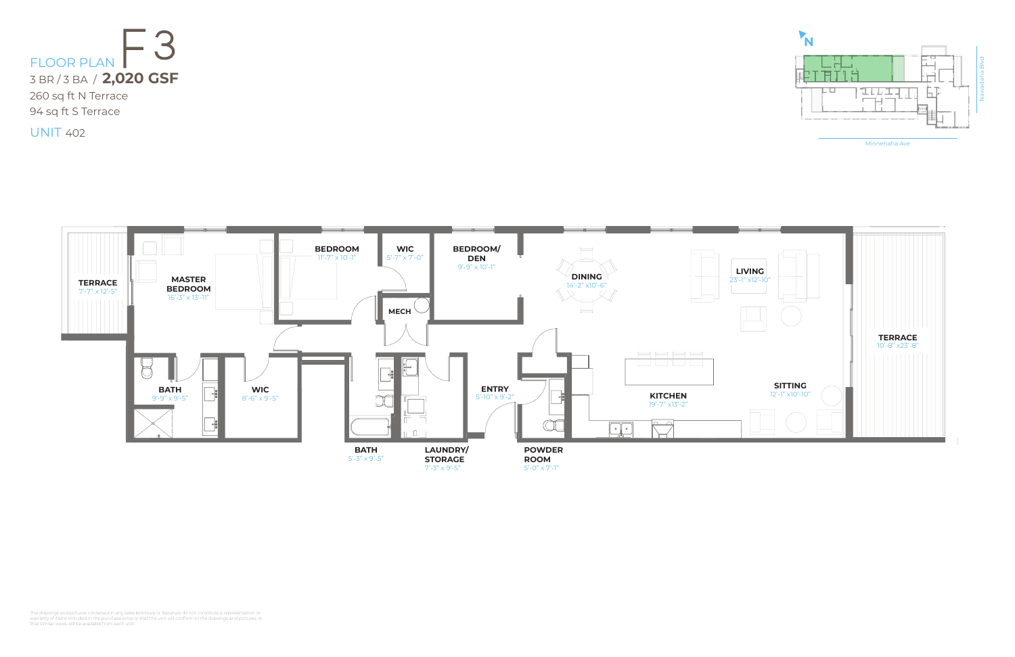

Minnehaha Ave





UNIT 402